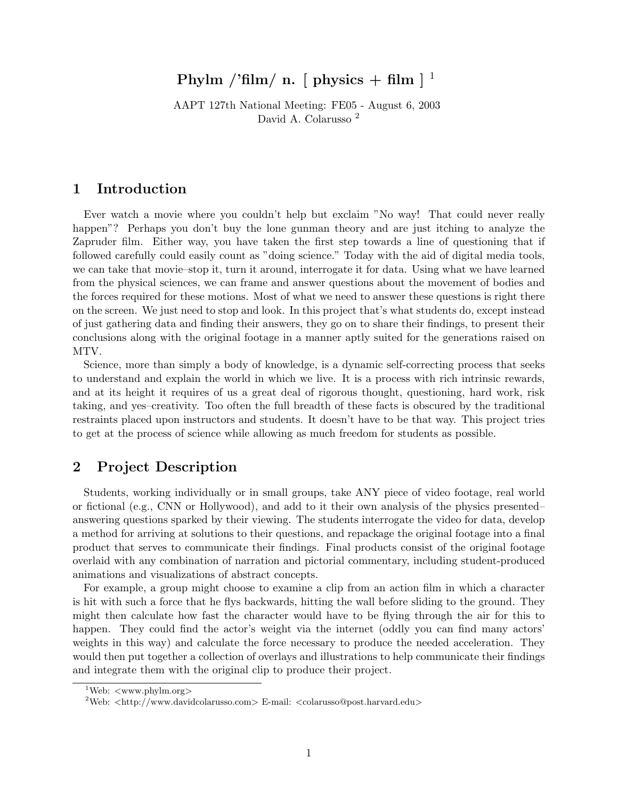# Phylm /'film/ n. [ physics + film  $\vert$  <sup>1</sup>

AAPT 127th National Meeting: FE05 - August 6, 2003 David A. Colarusso <sup>2</sup>

## 1 Introduction

Ever watch a movie where you couldn't help but exclaim "No way! That could never really happen"? Perhaps you don't buy the lone gunman theory and are just itching to analyze the Zapruder film. Either way, you have taken the first step towards a line of questioning that if followed carefully could easily count as "doing science." Today with the aid of digital media tools, we can take that movie–stop it, turn it around, interrogate it for data. Using what we have learned from the physical sciences, we can frame and answer questions about the movement of bodies and the forces required for these motions. Most of what we need to answer these questions is right there on the screen. We just need to stop and look. In this project that's what students do, except instead of just gathering data and finding their answers, they go on to share their findings, to present their conclusions along with the original footage in a manner aptly suited for the generations raised on MTV.

Science, more than simply a body of knowledge, is a dynamic self-correcting process that seeks to understand and explain the world in which we live. It is a process with rich intrinsic rewards, and at its height it requires of us a great deal of rigorous thought, questioning, hard work, risk taking, and yes–creativity. Too often the full breadth of these facts is obscured by the traditional restraints placed upon instructors and students. It doesn't have to be that way. This project tries to get at the process of science while allowing as much freedom for students as possible.

### 2 Project Description

Students, working individually or in small groups, take ANY piece of video footage, real world or fictional (e.g., CNN or Hollywood), and add to it their own analysis of the physics presented– answering questions sparked by their viewing. The students interrogate the video for data, develop a method for arriving at solutions to their questions, and repackage the original footage into a final product that serves to communicate their findings. Final products consist of the original footage overlaid with any combination of narration and pictorial commentary, including student-produced animations and visualizations of abstract concepts.

For example, a group might choose to examine a clip from an action film in which a character is hit with such a force that he flys backwards, hitting the wall before sliding to the ground. They might then calculate how fast the character would have to be flying through the air for this to happen. They could find the actor's weight via the internet (oddly you can find many actors' weights in this way) and calculate the force necessary to produce the needed acceleration. They would then put together a collection of overlays and illustrations to help communicate their findings and integrate them with the original clip to produce their project.

 $1$ Web:  $\langle$ www.phylm.org $\rangle$ 

<sup>&</sup>lt;sup>2</sup>Web:  $\langle$ http://www.davidcolarusso.com> E-mail:  $\langle$ colarusso@post.harvard.edu>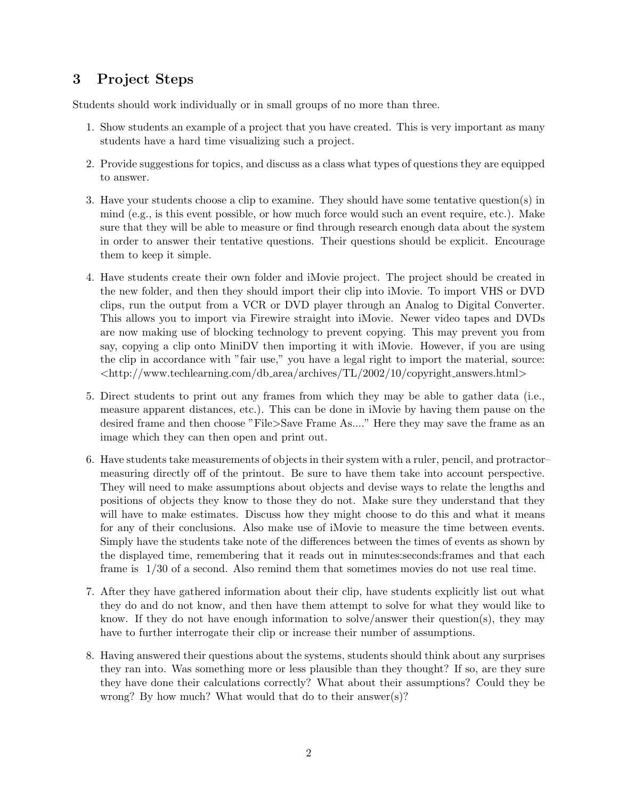# 3 Project Steps

Students should work individually or in small groups of no more than three.

- 1. Show students an example of a project that you have created. This is very important as many students have a hard time visualizing such a project.
- 2. Provide suggestions for topics, and discuss as a class what types of questions they are equipped to answer.
- 3. Have your students choose a clip to examine. They should have some tentative question(s) in mind (e.g., is this event possible, or how much force would such an event require, etc.). Make sure that they will be able to measure or find through research enough data about the system in order to answer their tentative questions. Their questions should be explicit. Encourage them to keep it simple.
- 4. Have students create their own folder and iMovie project. The project should be created in the new folder, and then they should import their clip into iMovie. To import VHS or DVD clips, run the output from a VCR or DVD player through an Analog to Digital Converter. This allows you to import via Firewire straight into iMovie. Newer video tapes and DVDs are now making use of blocking technology to prevent copying. This may prevent you from say, copying a clip onto MiniDV then importing it with iMovie. However, if you are using the clip in accordance with "fair use," you have a legal right to import the material, source: <http://www.techlearning.com/db area/archives/TL/2002/10/copyright answers.html>
- 5. Direct students to print out any frames from which they may be able to gather data (i.e., measure apparent distances, etc.). This can be done in iMovie by having them pause on the desired frame and then choose "File>Save Frame As...." Here they may save the frame as an image which they can then open and print out.
- 6. Have students take measurements of objects in their system with a ruler, pencil, and protractor– measuring directly off of the printout. Be sure to have them take into account perspective. They will need to make assumptions about objects and devise ways to relate the lengths and positions of objects they know to those they do not. Make sure they understand that they will have to make estimates. Discuss how they might choose to do this and what it means for any of their conclusions. Also make use of iMovie to measure the time between events. Simply have the students take note of the differences between the times of events as shown by the displayed time, remembering that it reads out in minutes:seconds:frames and that each frame is 1/30 of a second. Also remind them that sometimes movies do not use real time.
- 7. After they have gathered information about their clip, have students explicitly list out what they do and do not know, and then have them attempt to solve for what they would like to know. If they do not have enough information to solve/answer their question(s), they may have to further interrogate their clip or increase their number of assumptions.
- 8. Having answered their questions about the systems, students should think about any surprises they ran into. Was something more or less plausible than they thought? If so, are they sure they have done their calculations correctly? What about their assumptions? Could they be wrong? By how much? What would that do to their answer(s)?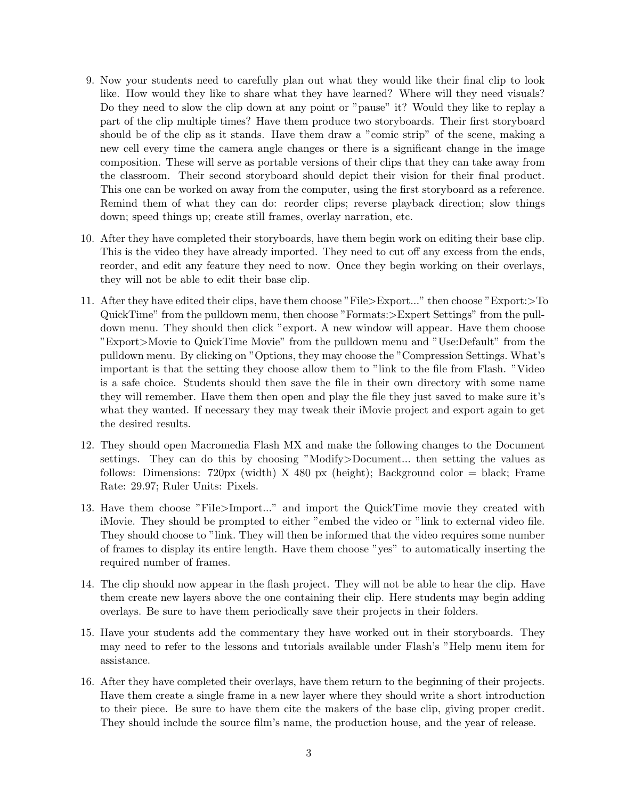- 9. Now your students need to carefully plan out what they would like their final clip to look like. How would they like to share what they have learned? Where will they need visuals? Do they need to slow the clip down at any point or "pause" it? Would they like to replay a part of the clip multiple times? Have them produce two storyboards. Their first storyboard should be of the clip as it stands. Have them draw a "comic strip" of the scene, making a new cell every time the camera angle changes or there is a significant change in the image composition. These will serve as portable versions of their clips that they can take away from the classroom. Their second storyboard should depict their vision for their final product. This one can be worked on away from the computer, using the first storyboard as a reference. Remind them of what they can do: reorder clips; reverse playback direction; slow things down; speed things up; create still frames, overlay narration, etc.
- 10. After they have completed their storyboards, have them begin work on editing their base clip. This is the video they have already imported. They need to cut off any excess from the ends, reorder, and edit any feature they need to now. Once they begin working on their overlays, they will not be able to edit their base clip.
- 11. After they have edited their clips, have them choose "File>Export..." then choose "Export:>To QuickTime" from the pulldown menu, then choose "Formats:>Expert Settings" from the pulldown menu. They should then click "export. A new window will appear. Have them choose "Export>Movie to QuickTime Movie" from the pulldown menu and "Use:Default" from the pulldown menu. By clicking on "Options, they may choose the "Compression Settings. What's important is that the setting they choose allow them to "link to the file from Flash. "Video is a safe choice. Students should then save the file in their own directory with some name they will remember. Have them then open and play the file they just saved to make sure it's what they wanted. If necessary they may tweak their iMovie project and export again to get the desired results.
- 12. They should open Macromedia Flash MX and make the following changes to the Document settings. They can do this by choosing "Modify>Document... then setting the values as follows: Dimensions:  $720px$  (width) X 480 px (height); Background color = black; Frame Rate: 29.97; Ruler Units: Pixels.
- 13. Have them choose "FiIe>Import..." and import the QuickTime movie they created with iMovie. They should be prompted to either "embed the video or "link to external video file. They should choose to "link. They will then be informed that the video requires some number of frames to display its entire length. Have them choose "yes" to automatically inserting the required number of frames.
- 14. The clip should now appear in the flash project. They will not be able to hear the clip. Have them create new layers above the one containing their clip. Here students may begin adding overlays. Be sure to have them periodically save their projects in their folders.
- 15. Have your students add the commentary they have worked out in their storyboards. They may need to refer to the lessons and tutorials available under Flash's "Help menu item for assistance.
- 16. After they have completed their overlays, have them return to the beginning of their projects. Have them create a single frame in a new layer where they should write a short introduction to their piece. Be sure to have them cite the makers of the base clip, giving proper credit. They should include the source film's name, the production house, and the year of release.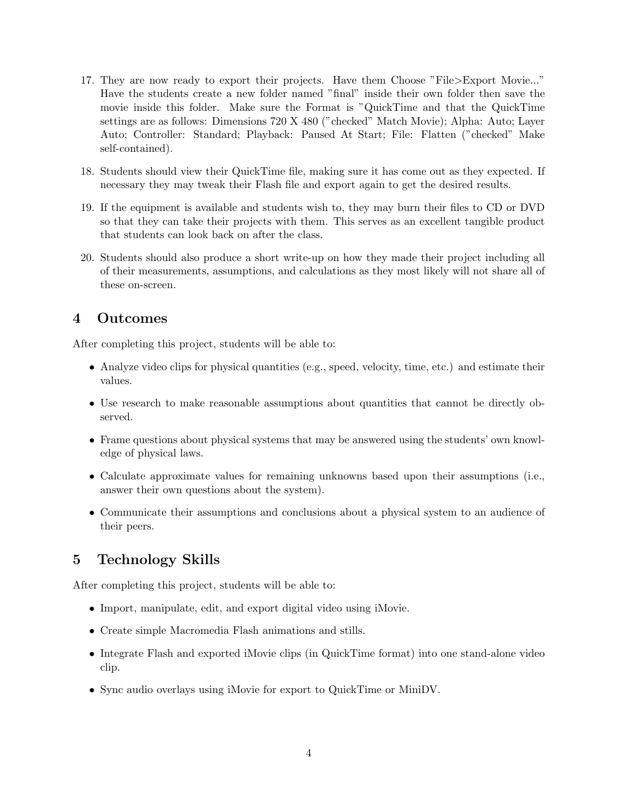- 17. They are now ready to export their projects. Have them Choose "File>Export Movie..." Have the students create a new folder named "final" inside their own folder then save the movie inside this folder. Make sure the Format is "QuickTime and that the QuickTime settings are as follows: Dimensions 720 X 480 ("checked" Match Movie); Alpha: Auto; Layer Auto; Controller: Standard; Playback: Paused At Start; File: Flatten ("checked" Make self-contained).
- 18. Students should view their QuickTime file, making sure it has come out as they expected. If necessary they may tweak their Flash file and export again to get the desired results.
- 19. If the equipment is available and students wish to, they may burn their files to CD or DVD so that they can take their projects with them. This serves as an excellent tangible product that students can look back on after the class.
- 20. Students should also produce a short write-up on how they made their project including all of their measurements, assumptions, and calculations as they most likely will not share all of these on-screen.

# 4 Outcomes

After completing this project, students will be able to:

- Analyze video clips for physical quantities (e.g., speed, velocity, time, etc.) and estimate their values.
- Use research to make reasonable assumptions about quantities that cannot be directly observed.
- Frame questions about physical systems that may be answered using the students' own knowledge of physical laws.
- Calculate approximate values for remaining unknowns based upon their assumptions (i.e., answer their own questions about the system).
- Communicate their assumptions and conclusions about a physical system to an audience of their peers.

# 5 Technology Skills

After completing this project, students will be able to:

- Import, manipulate, edit, and export digital video using iMovie.
- Create simple Macromedia Flash animations and stills.
- Integrate Flash and exported iMovie clips (in QuickTime format) into one stand-alone video clip.
- Sync audio overlays using iMovie for export to QuickTime or MiniDV.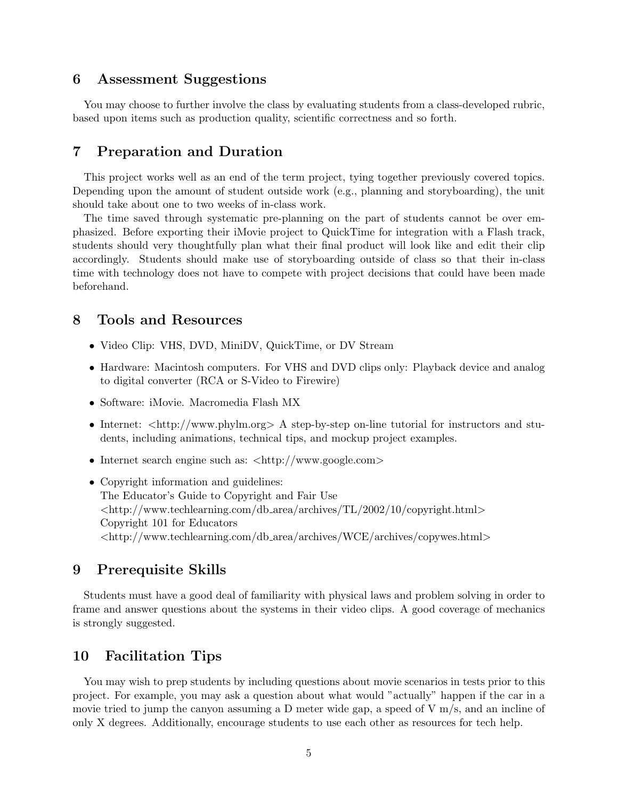#### 6 Assessment Suggestions

You may choose to further involve the class by evaluating students from a class-developed rubric, based upon items such as production quality, scientific correctness and so forth.

#### 7 Preparation and Duration

This project works well as an end of the term project, tying together previously covered topics. Depending upon the amount of student outside work (e.g., planning and storyboarding), the unit should take about one to two weeks of in-class work.

The time saved through systematic pre-planning on the part of students cannot be over emphasized. Before exporting their iMovie project to QuickTime for integration with a Flash track, students should very thoughtfully plan what their final product will look like and edit their clip accordingly. Students should make use of storyboarding outside of class so that their in-class time with technology does not have to compete with project decisions that could have been made beforehand.

#### 8 Tools and Resources

- Video Clip: VHS, DVD, MiniDV, QuickTime, or DV Stream
- Hardware: Macintosh computers. For VHS and DVD clips only: Playback device and analog to digital converter (RCA or S-Video to Firewire)
- Software: iMovie. Macromedia Flash MX
- Internet:  $\langle \text{http://www.phylm.org>} \land \text{step-by-step on-line tutorial for instructors and stu$ dents, including animations, technical tips, and mockup project examples.
- Internet search engine such as:  $\langle \text{http://www.google.com>}$
- Copyright information and guidelines: The Educator's Guide to Copyright and Fair Use <http://www.techlearning.com/db area/archives/TL/2002/10/copyright.html> Copyright 101 for Educators <http://www.techlearning.com/db area/archives/WCE/archives/copywes.html>

#### 9 Prerequisite Skills

Students must have a good deal of familiarity with physical laws and problem solving in order to frame and answer questions about the systems in their video clips. A good coverage of mechanics is strongly suggested.

### 10 Facilitation Tips

You may wish to prep students by including questions about movie scenarios in tests prior to this project. For example, you may ask a question about what would "actually" happen if the car in a movie tried to jump the canyon assuming a D meter wide gap, a speed of  $V$  m/s, and an incline of only X degrees. Additionally, encourage students to use each other as resources for tech help.